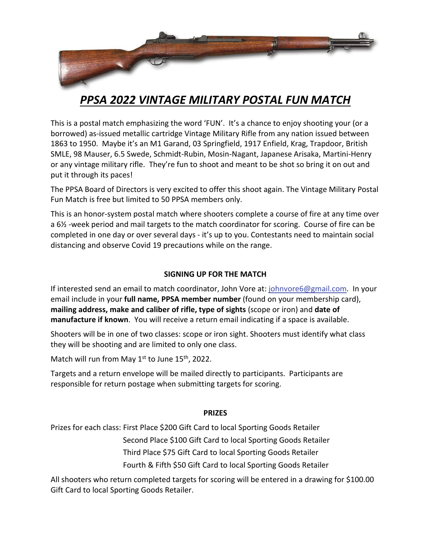

# *PPSA 2022 VINTAGE MILITARY POSTAL FUN MATCH*

This is a postal match emphasizing the word 'FUN'. It's a chance to enjoy shooting your (or a borrowed) as‐issued metallic cartridge Vintage Military Rifle from any nation issued between 1863 to 1950. Maybe it's an M1 Garand, 03 Springfield, 1917 Enfield, Krag, Trapdoor, British SMLE, 98 Mauser, 6.5 Swede, Schmidt‐Rubin, Mosin‐Nagant, Japanese Arisaka, Martini‐Henry or any vintage military rifle. They're fun to shoot and meant to be shot so bring it on out and put it through its paces!

The PPSA Board of Directors is very excited to offer this shoot again. The Vintage Military Postal Fun Match is free but limited to 50 PPSA members only.

This is an honor‐system postal match where shooters complete a course of fire at any time over a 6½ ‐week period and mail targets to the match coordinator for scoring. Course of fire can be completed in one day or over several days ‐ it's up to you. Contestants need to maintain social distancing and observe Covid 19 precautions while on the range.

## **SIGNING UP FOR THE MATCH**

If interested send an email to match coordinator, John Vore at: johnvore6@gmail.com. In your email include in your **full name, PPSA member number** (found on your membership card), **mailing address, make and caliber of rifle, type of sights** (scope or iron) and **date of manufacture if known**. You will receive a return email indicating if a space is available.

Shooters will be in one of two classes: scope or iron sight. Shooters must identify what class they will be shooting and are limited to only one class.

Match will run from May  $1^{st}$  to June  $15^{th}$ , 2022.

Targets and a return envelope will be mailed directly to participants. Participants are responsible for return postage when submitting targets for scoring.

### **PRIZES**

Prizes for each class: First Place \$200 Gift Card to local Sporting Goods Retailer

Second Place \$100 Gift Card to local Sporting Goods Retailer

Third Place \$75 Gift Card to local Sporting Goods Retailer

Fourth & Fifth \$50 Gift Card to local Sporting Goods Retailer

All shooters who return completed targets for scoring will be entered in a drawing for \$100.00 Gift Card to local Sporting Goods Retailer.